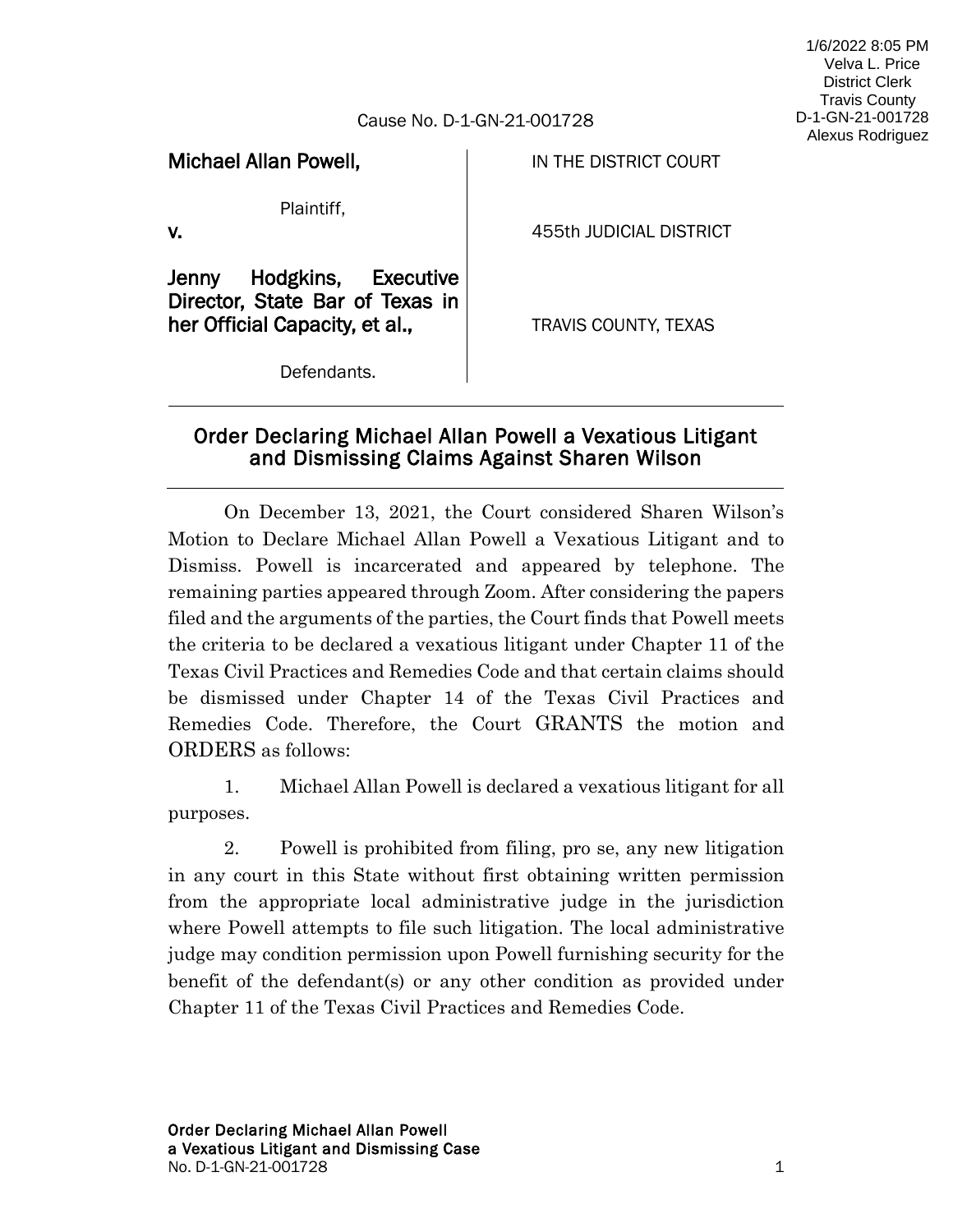## 1/6/2022 8:05 PM Velva L. Price District Clerk Travis County D-1-GN-21-001728 Alexus Rodriguez

## Cause No. D-1-GN-21-001728

Michael Allan Powell,

IN THE DISTRICT COURT

Plaintiff,

v.

455th JUDICIAL DISTRICT

Jenny Hodgkins, Executive Director, State Bar of Texas in her Official Capacity, et al.,

TRAVIS COUNTY, TEXAS

Defendants.

## Order Declaring Michael Allan Powell a Vexatious Litigant and Dismissing Claims Against Sharen Wilson

On December 13, 2021, the Court considered Sharen Wilson's Motion to Declare Michael Allan Powell a Vexatious Litigant and to Dismiss. Powell is incarcerated and appeared by telephone. The remaining parties appeared through Zoom. After considering the papers filed and the arguments of the parties, the Court finds that Powell meets the criteria to be declared a vexatious litigant under Chapter 11 of the Texas Civil Practices and Remedies Code and that certain claims should be dismissed under Chapter 14 of the Texas Civil Practices and Remedies Code. Therefore, the Court GRANTS the motion and ORDERS as follows:

1. Michael Allan Powell is declared a vexatious litigant for all purposes.

2. Powell is prohibited from filing, pro se, any new litigation in any court in this State without first obtaining written permission from the appropriate local administrative judge in the jurisdiction where Powell attempts to file such litigation. The local administrative judge may condition permission upon Powell furnishing security for the benefit of the defendant(s) or any other condition as provided under Chapter 11 of the Texas Civil Practices and Remedies Code.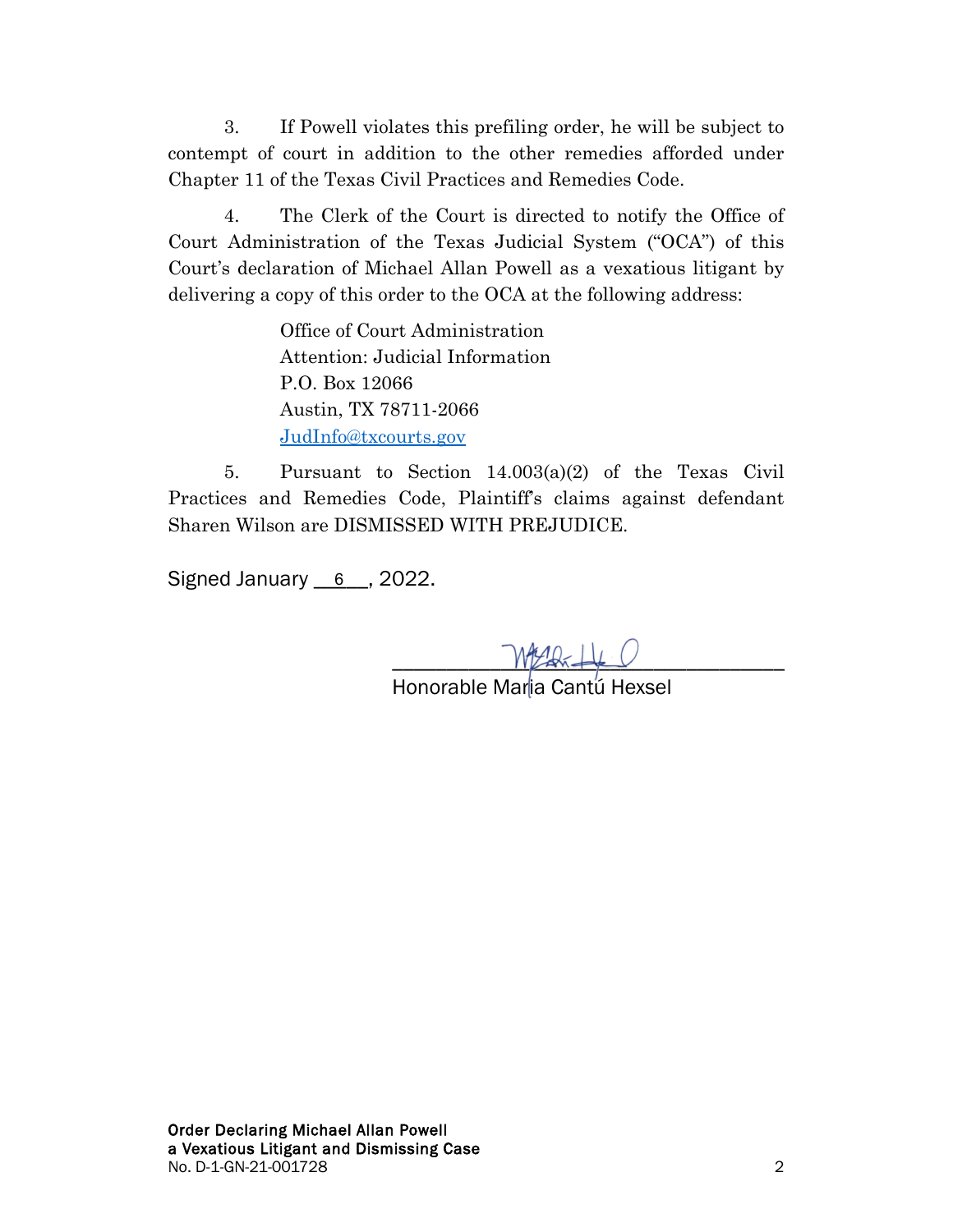3. If Powell violates this prefiling order, he will be subject to contempt of court in addition to the other remedies afforded under Chapter 11 of the Texas Civil Practices and Remedies Code.

4. The Clerk of the Court is directed to notify the Office of Court Administration of the Texas Judicial System ("OCA") of this Court's declaration of Michael Allan Powell as a vexatious litigant by delivering a copy of this order to the OCA at the following address:

> Office of Court Administration Attention: Judicial Information P.O. Box 12066 Austin, TX 78711-2066 [JudInfo@txcourts.gov](mailto:JudInfo@txcourts.gov)

5. Pursuant to Section 14.003(a)(2) of the Texas Civil Practices and Remedies Code, Plaintiff's claims against defendant Sharen Wilson are DISMISSED WITH PREJUDICE.

Signed January <u>\_\_6\_\_</u>, 2022.

 $W$  and  $\downarrow$ 

Honorable Maria Cantú Hexsel